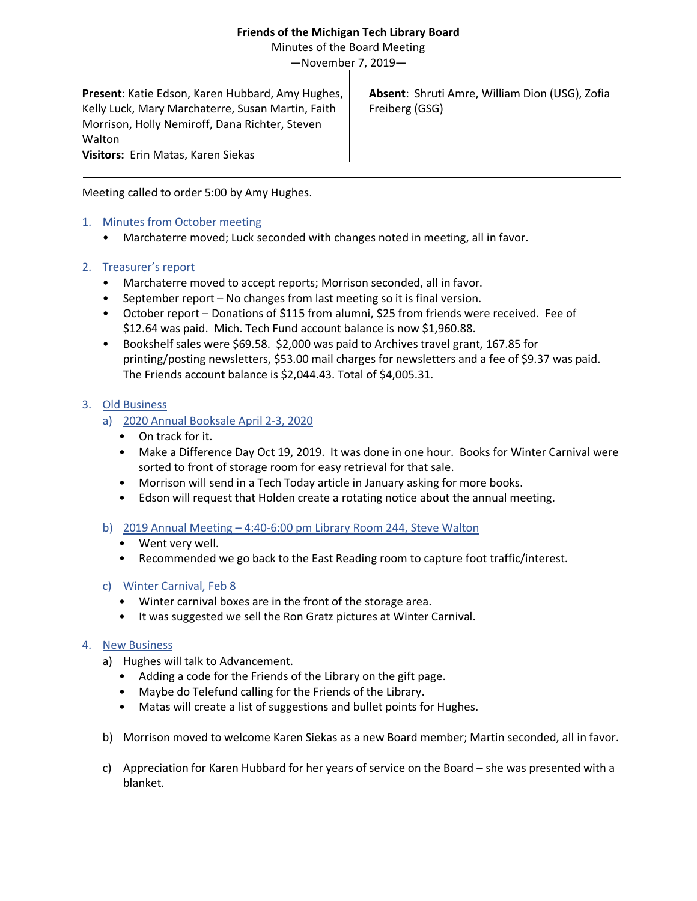## **Friends of the Michigan Tech Library Board**

Minutes of the Board Meeting

—November 7, 2019—

**Present**: Katie Edson, Karen Hubbard, Amy Hughes, Kelly Luck, Mary Marchaterre, Susan Martin, Faith Morrison, Holly Nemiroff, Dana Richter, Steven Walton **Visitors:** Erin Matas, Karen Siekas

**Absent**: Shruti Amre, William Dion (USG), Zofia Freiberg (GSG)

Meeting called to order 5:00 by Amy Hughes.

- 1. Minutes from October meeting
	- Marchaterre moved; Luck seconded with changes noted in meeting, all in favor.

## 2. Treasurer's report

- Marchaterre moved to accept reports; Morrison seconded, all in favor.
- September report No changes from last meeting so it is final version.
- October report Donations of \$115 from alumni, \$25 from friends were received. Fee of \$12.64 was paid. Mich. Tech Fund account balance is now \$1,960.88.
- Bookshelf sales were \$69.58. \$2,000 was paid to Archives travel grant, 167.85 for printing/posting newsletters, \$53.00 mail charges for newsletters and a fee of \$9.37 was paid. The Friends account balance is \$2,044.43. Total of \$4,005.31.

## 3. Old Business

- a) 2020 Annual Booksale April 2-3, 2020
	- On track for it.
	- Make a Difference Day Oct 19, 2019. It was done in one hour. Books for Winter Carnival were sorted to front of storage room for easy retrieval for that sale.
	- Morrison will send in a Tech Today article in January asking for more books.
	- Edson will request that Holden create a rotating notice about the annual meeting.
- b) 2019 Annual Meeting 4:40-6:00 pm Library Room 244, Steve Walton
	- Went very well.
	- Recommended we go back to the East Reading room to capture foot traffic/interest.
- c) Winter Carnival, Feb 8
	- Winter carnival boxes are in the front of the storage area.
	- It was suggested we sell the Ron Gratz pictures at Winter Carnival.

## 4. New Business

- a) Hughes will talk to Advancement.
	- Adding a code for the Friends of the Library on the gift page.
	- Maybe do Telefund calling for the Friends of the Library.
	- Matas will create a list of suggestions and bullet points for Hughes.
- b) Morrison moved to welcome Karen Siekas as a new Board member; Martin seconded, all in favor.
- c) Appreciation for Karen Hubbard for her years of service on the Board she was presented with a blanket.